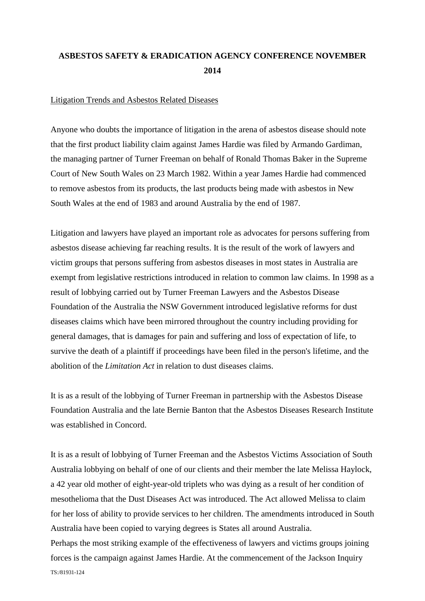## **ASBESTOS SAFETY & ERADICATION AGENCY CONFERENCE NOVEMBER 2014**

## Litigation Trends and Asbestos Related Diseases

Anyone who doubts the importance of litigation in the arena of asbestos disease should note that the first product liability claim against James Hardie was filed by Armando Gardiman, the managing partner of Turner Freeman on behalf of Ronald Thomas Baker in the Supreme Court of New South Wales on 23 March 1982. Within a year James Hardie had commenced to remove asbestos from its products, the last products being made with asbestos in New South Wales at the end of 1983 and around Australia by the end of 1987.

Litigation and lawyers have played an important role as advocates for persons suffering from asbestos disease achieving far reaching results. It is the result of the work of lawyers and victim groups that persons suffering from asbestos diseases in most states in Australia are exempt from legislative restrictions introduced in relation to common law claims. In 1998 as a result of lobbying carried out by Turner Freeman Lawyers and the Asbestos Disease Foundation of the Australia the NSW Government introduced legislative reforms for dust diseases claims which have been mirrored throughout the country including providing for general damages, that is damages for pain and suffering and loss of expectation of life, to survive the death of a plaintiff if proceedings have been filed in the person's lifetime, and the abolition of the *Limitation Act* in relation to dust diseases claims.

It is as a result of the lobbying of Turner Freeman in partnership with the Asbestos Disease Foundation Australia and the late Bernie Banton that the Asbestos Diseases Research Institute was established in Concord.

TS:/81931-124 It is as a result of lobbying of Turner Freeman and the Asbestos Victims Association of South Australia lobbying on behalf of one of our clients and their member the late Melissa Haylock, a 42 year old mother of eight-year-old triplets who was dying as a result of her condition of mesothelioma that the Dust Diseases Act was introduced. The Act allowed Melissa to claim for her loss of ability to provide services to her children. The amendments introduced in South Australia have been copied to varying degrees is States all around Australia. Perhaps the most striking example of the effectiveness of lawyers and victims groups joining forces is the campaign against James Hardie. At the commencement of the Jackson Inquiry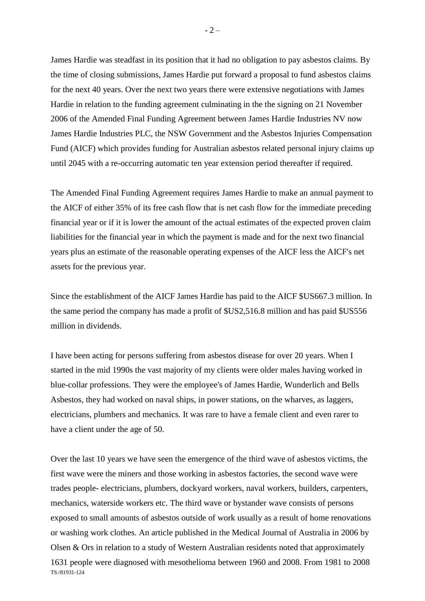James Hardie was steadfast in its position that it had no obligation to pay asbestos claims. By the time of closing submissions, James Hardie put forward a proposal to fund asbestos claims for the next 40 years. Over the next two years there were extensive negotiations with James Hardie in relation to the funding agreement culminating in the the signing on 21 November 2006 of the Amended Final Funding Agreement between James Hardie Industries NV now James Hardie Industries PLC, the NSW Government and the Asbestos Injuries Compensation Fund (AICF) which provides funding for Australian asbestos related personal injury claims up until 2045 with a re-occurring automatic ten year extension period thereafter if required.

The Amended Final Funding Agreement requires James Hardie to make an annual payment to the AICF of either 35% of its free cash flow that is net cash flow for the immediate preceding financial year or if it is lower the amount of the actual estimates of the expected proven claim liabilities for the financial year in which the payment is made and for the next two financial years plus an estimate of the reasonable operating expenses of the AICF less the AICF's net assets for the previous year.

Since the establishment of the AICF James Hardie has paid to the AICF \$US667.3 million. In the same period the company has made a profit of \$US2,516.8 million and has paid \$US556 million in dividends.

I have been acting for persons suffering from asbestos disease for over 20 years. When I started in the mid 1990s the vast majority of my clients were older males having worked in blue-collar professions. They were the employee's of James Hardie, Wunderlich and Bells Asbestos, they had worked on naval ships, in power stations, on the wharves, as laggers, electricians, plumbers and mechanics. It was rare to have a female client and even rarer to have a client under the age of 50.

TS:/81931-124 Over the last 10 years we have seen the emergence of the third wave of asbestos victims, the first wave were the miners and those working in asbestos factories, the second wave were trades people- electricians, plumbers, dockyard workers, naval workers, builders, carpenters, mechanics, waterside workers etc. The third wave or bystander wave consists of persons exposed to small amounts of asbestos outside of work usually as a result of home renovations or washing work clothes. An article published in the Medical Journal of Australia in 2006 by Olsen & Ors in relation to a study of Western Australian residents noted that approximately 1631 people were diagnosed with mesothelioma between 1960 and 2008. From 1981 to 2008

 $-2-$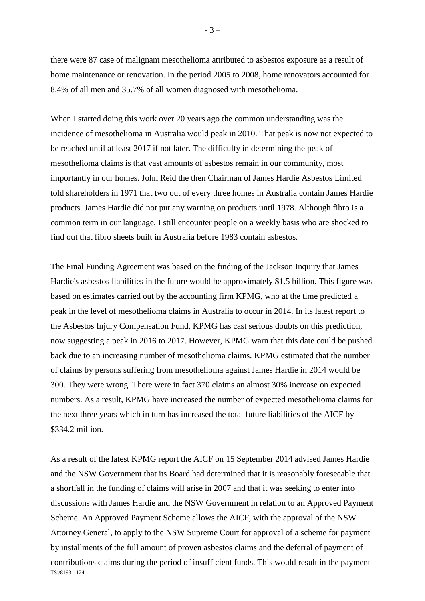there were 87 case of malignant mesothelioma attributed to asbestos exposure as a result of home maintenance or renovation. In the period 2005 to 2008, home renovators accounted for 8.4% of all men and 35.7% of all women diagnosed with mesothelioma.

When I started doing this work over 20 years ago the common understanding was the incidence of mesothelioma in Australia would peak in 2010. That peak is now not expected to be reached until at least 2017 if not later. The difficulty in determining the peak of mesothelioma claims is that vast amounts of asbestos remain in our community, most importantly in our homes. John Reid the then Chairman of James Hardie Asbestos Limited told shareholders in 1971 that two out of every three homes in Australia contain James Hardie products. James Hardie did not put any warning on products until 1978. Although fibro is a common term in our language, I still encounter people on a weekly basis who are shocked to find out that fibro sheets built in Australia before 1983 contain asbestos.

The Final Funding Agreement was based on the finding of the Jackson Inquiry that James Hardie's asbestos liabilities in the future would be approximately \$1.5 billion. This figure was based on estimates carried out by the accounting firm KPMG, who at the time predicted a peak in the level of mesothelioma claims in Australia to occur in 2014. In its latest report to the Asbestos Injury Compensation Fund, KPMG has cast serious doubts on this prediction, now suggesting a peak in 2016 to 2017. However, KPMG warn that this date could be pushed back due to an increasing number of mesothelioma claims. KPMG estimated that the number of claims by persons suffering from mesothelioma against James Hardie in 2014 would be 300. They were wrong. There were in fact 370 claims an almost 30% increase on expected numbers. As a result, KPMG have increased the number of expected mesothelioma claims for the next three years which in turn has increased the total future liabilities of the AICF by  $$334.2$  million.

TS:/81931-124 As a result of the latest KPMG report the AICF on 15 September 2014 advised James Hardie and the NSW Government that its Board had determined that it is reasonably foreseeable that a shortfall in the funding of claims will arise in 2007 and that it was seeking to enter into discussions with James Hardie and the NSW Government in relation to an Approved Payment Scheme. An Approved Payment Scheme allows the AICF, with the approval of the NSW Attorney General, to apply to the NSW Supreme Court for approval of a scheme for payment by installments of the full amount of proven asbestos claims and the deferral of payment of contributions claims during the period of insufficient funds. This would result in the payment

 $-3-$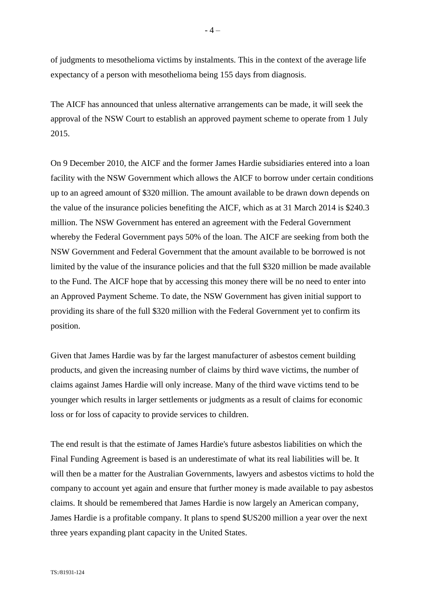of judgments to mesothelioma victims by instalments. This in the context of the average life expectancy of a person with mesothelioma being 155 days from diagnosis.

The AICF has announced that unless alternative arrangements can be made, it will seek the approval of the NSW Court to establish an approved payment scheme to operate from 1 July 2015.

On 9 December 2010, the AICF and the former James Hardie subsidiaries entered into a loan facility with the NSW Government which allows the AICF to borrow under certain conditions up to an agreed amount of \$320 million. The amount available to be drawn down depends on the value of the insurance policies benefiting the AICF, which as at 31 March 2014 is \$240.3 million. The NSW Government has entered an agreement with the Federal Government whereby the Federal Government pays 50% of the loan. The AICF are seeking from both the NSW Government and Federal Government that the amount available to be borrowed is not limited by the value of the insurance policies and that the full \$320 million be made available to the Fund. The AICF hope that by accessing this money there will be no need to enter into an Approved Payment Scheme. To date, the NSW Government has given initial support to providing its share of the full \$320 million with the Federal Government yet to confirm its position.

Given that James Hardie was by far the largest manufacturer of asbestos cement building products, and given the increasing number of claims by third wave victims, the number of claims against James Hardie will only increase. Many of the third wave victims tend to be younger which results in larger settlements or judgments as a result of claims for economic loss or for loss of capacity to provide services to children.

The end result is that the estimate of James Hardie's future asbestos liabilities on which the Final Funding Agreement is based is an underestimate of what its real liabilities will be. It will then be a matter for the Australian Governments, lawyers and asbestos victims to hold the company to account yet again and ensure that further money is made available to pay asbestos claims. It should be remembered that James Hardie is now largely an American company, James Hardie is a profitable company. It plans to spend \$US200 million a year over the next three years expanding plant capacity in the United States.